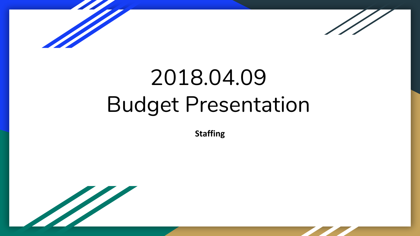



## 2018.04.09 Budget Presentation

**Staffing**

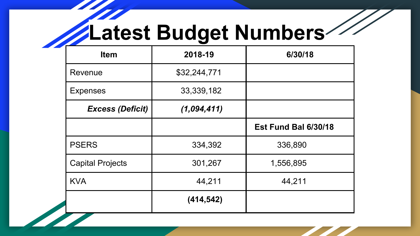## **Latest Budget Numbers**

| Item                    | 2018-19      | 6/30/18              |
|-------------------------|--------------|----------------------|
| Revenue                 | \$32,244,771 |                      |
| <b>Expenses</b>         | 33,339,182   |                      |
| <b>Excess (Deficit)</b> | (1,094,411)  |                      |
|                         |              | Est Fund Bal 6/30/18 |
| <b>PSERS</b>            | 334,392      | 336,890              |
| <b>Capital Projects</b> | 301,267      | 1,556,895            |
| <b>KVA</b>              | 44,211       | 44,211               |
|                         | (414, 542)   |                      |
|                         |              |                      |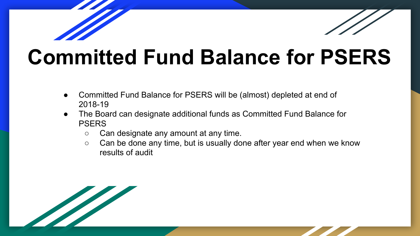

#### **Committed Fund Balance for PSERS**

- Committed Fund Balance for PSERS will be (almost) depleted at end of 2018-19
- The Board can designate additional funds as Committed Fund Balance for **PSFRS** 
	- Can designate any amount at any time.
	- Can be done any time, but is usually done after year end when we know results of audit

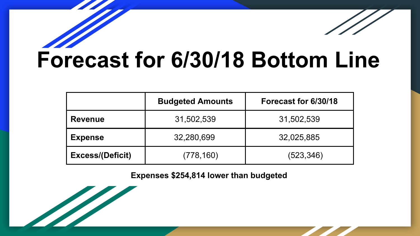# **Forecast for 6/30/18 Bottom Line**

|                         | <b>Budgeted Amounts</b> | Forecast for 6/30/18 |  |
|-------------------------|-------------------------|----------------------|--|
| <b>Revenue</b>          | 31,502,539              | 31,502,539           |  |
| <b>Expense</b>          | 32,280,699              | 32,025,885           |  |
| <b>Excess/(Deficit)</b> | (778, 160)              | (523,346)            |  |

**Expenses \$254,814 lower than budgeted**

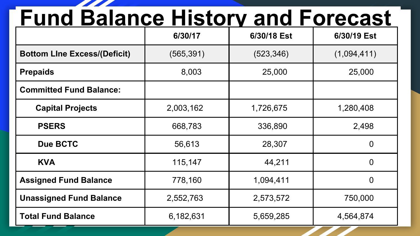## **Fund Balance History and Forecast**

|                                     | 6/30/17    | 6/30/18 Est | 6/30/19 Est |
|-------------------------------------|------------|-------------|-------------|
| <b>Bottom Line Excess/(Deficit)</b> | (565, 391) | (523, 346)  | (1,094,411) |
| <b>Prepaids</b>                     | 8,003      | 25,000      | 25,000      |
| <b>Committed Fund Balance:</b>      |            |             |             |
| <b>Capital Projects</b>             | 2,003,162  | 1,726,675   | 1,280,408   |
| <b>PSERS</b>                        | 668,783    | 336,890     | 2,498       |
| <b>Due BCTC</b>                     | 56,613     | 28,307      | $\mathbf 0$ |
| <b>KVA</b>                          | 115,147    | 44,211      | $\Omega$    |
| <b>Assigned Fund Balance</b>        | 778,160    | 1,094,411   | $\mathbf 0$ |
| <b>Unassigned Fund Balance</b>      | 2,552,763  | 2,573,572   | 750,000     |
| <b>Total Fund Balance</b>           | 6,182,631  | 5,659,285   | 4,564,874   |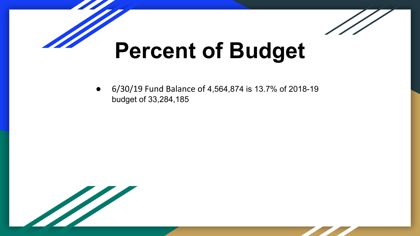

### **Percent of Budget**

● 6/30/19 Fund Balance of 4,564,874 is 13.7% of 2018-19 budget of 33,284,185